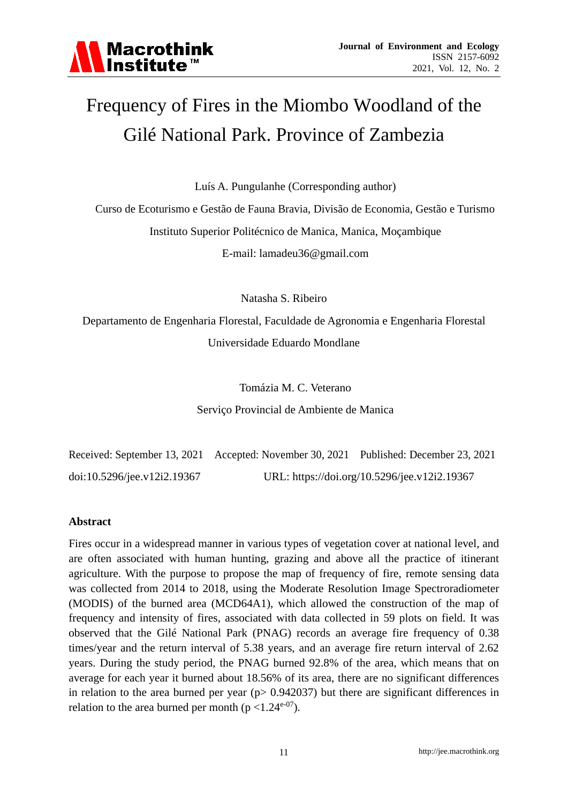

# Frequency of Fires in the Miombo Woodland of the Gilé National Park. Province of Zambezia

Luís A. Pungulanhe (Corresponding author)

Curso de Ecoturismo e Gestão de Fauna Bravia, Divisão de Economia, Gestão e Turismo Instituto Superior Politécnico de Manica, Manica, Moçambique E-mail: lamadeu36@gmail.com

Natasha S. Ribeiro

Departamento de Engenharia Florestal, Faculdade de Agronomia e Engenharia Florestal Universidade Eduardo Mondlane

Tomázia M. C. Veterano

Serviço Provincial de Ambiente de Manica

|                             | Received: September 13, 2021 Accepted: November 30, 2021 Published: December 23, 2021 |                                              |
|-----------------------------|---------------------------------------------------------------------------------------|----------------------------------------------|
| doi:10.5296/jee.v12i2.19367 |                                                                                       | URL: https://doi.org/10.5296/jee.v12i2.19367 |

#### **Abstract**

Fires occur in a widespread manner in various types of vegetation cover at national level, and are often associated with human hunting, grazing and above all the practice of itinerant agriculture. With the purpose to propose the map of frequency of fire, remote sensing data was collected from 2014 to 2018, using the Moderate Resolution Image Spectroradiometer (MODIS) of the burned area (MCD64A1), which allowed the construction of the map of frequency and intensity of fires, associated with data collected in 59 plots on field. It was observed that the Gilé National Park (PNAG) records an average fire frequency of 0.38 times/year and the return interval of 5.38 years, and an average fire return interval of 2.62 years. During the study period, the PNAG burned 92.8% of the area, which means that on average for each year it burned about 18.56% of its area, there are no significant differences in relation to the area burned per year ( $p$  > 0.942037) but there are significant differences in relation to the area burned per month ( $p < 1.24e^{-07}$ ).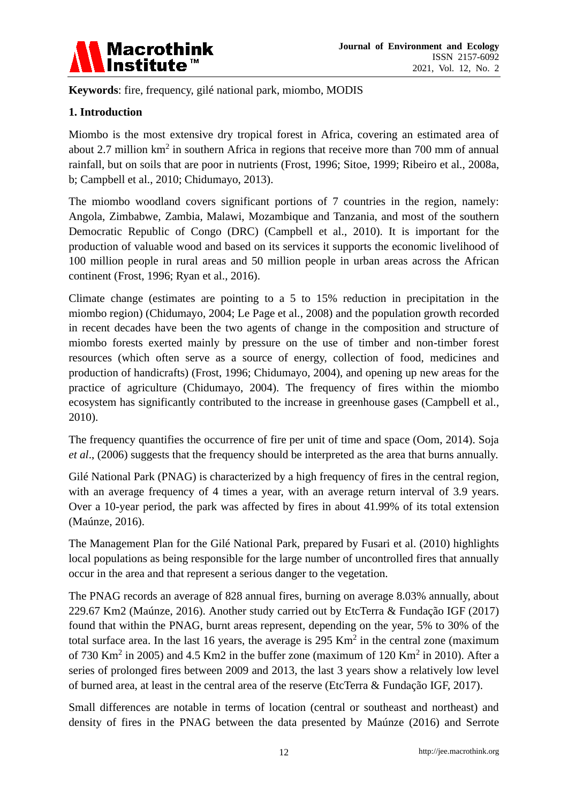

**Keywords**: fire, frequency, gilé national park, miombo, MODIS

## **1. Introduction**

Miombo is the most extensive dry tropical forest in Africa, covering an estimated area of about 2.7 million  $km^2$  in southern Africa in regions that receive more than 700 mm of annual rainfall, but on soils that are poor in nutrients (Frost, 1996; Sitoe, 1999; Ribeiro et al., 2008a, b; Campbell et al., 2010; Chidumayo, 2013).

The miombo woodland covers significant portions of 7 countries in the region, namely: Angola, Zimbabwe, Zambia, Malawi, Mozambique and Tanzania, and most of the southern Democratic Republic of Congo (DRC) (Campbell et al., 2010). It is important for the production of valuable wood and based on its services it supports the economic livelihood of 100 million people in rural areas and 50 million people in urban areas across the African continent (Frost, 1996; Ryan et al., 2016).

Climate change (estimates are pointing to a 5 to 15% reduction in precipitation in the miombo region) (Chidumayo, 2004; Le Page et al., 2008) and the population growth recorded in recent decades have been the two agents of change in the composition and structure of miombo forests exerted mainly by pressure on the use of timber and non-timber forest resources (which often serve as a source of energy, collection of food, medicines and production of handicrafts) (Frost, 1996; Chidumayo, 2004), and opening up new areas for the practice of agriculture (Chidumayo, 2004). The frequency of fires within the miombo ecosystem has significantly contributed to the increase in greenhouse gases (Campbell et al., 2010).

The frequency quantifies the occurrence of fire per unit of time and space (Oom, 2014). Soja *et al*., (2006) suggests that the frequency should be interpreted as the area that burns annually.

Gilé National Park (PNAG) is characterized by a high frequency of fires in the central region, with an average frequency of 4 times a year, with an average return interval of 3.9 years. Over a 10-year period, the park was affected by fires in about 41.99% of its total extension (Maúnze, 2016).

The Management Plan for the Gilé National Park, prepared by Fusari et al. (2010) highlights local populations as being responsible for the large number of uncontrolled fires that annually occur in the area and that represent a serious danger to the vegetation.

The PNAG records an average of 828 annual fires, burning on average 8.03% annually, about 229.67 Km2 (Maúnze, 2016). Another study carried out by EtcTerra & Fundação IGF (2017) found that within the PNAG, burnt areas represent, depending on the year, 5% to 30% of the total surface area. In the last 16 years, the average is  $295 \text{ Km}^2$  in the central zone (maximum of 730 Km<sup>2</sup> in 2005) and 4.5 Km2 in the buffer zone (maximum of 120 Km<sup>2</sup> in 2010). After a series of prolonged fires between 2009 and 2013, the last 3 years show a relatively low level of burned area, at least in the central area of the reserve (EtcTerra & Fundação IGF, 2017).

Small differences are notable in terms of location (central or southeast and northeast) and density of fires in the PNAG between the data presented by Maúnze (2016) and Serrote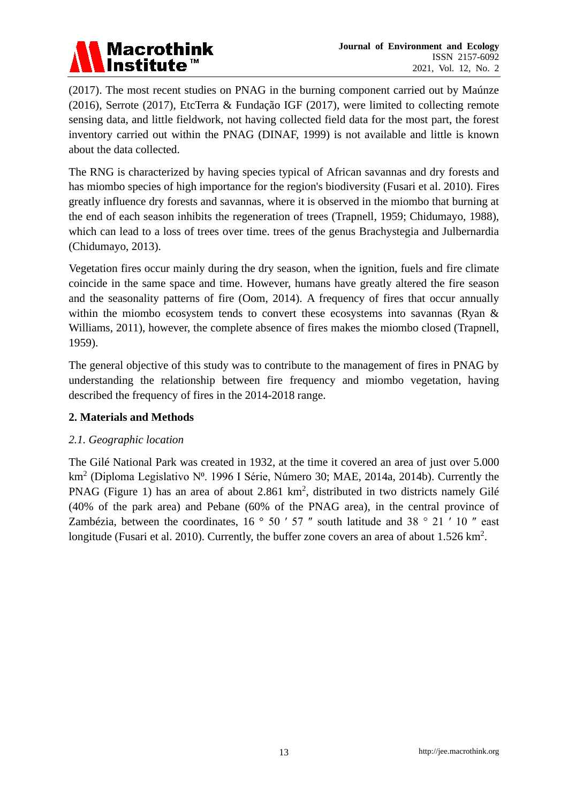

(2017). The most recent studies on PNAG in the burning component carried out by Maúnze (2016), Serrote (2017), EtcTerra & Fundação IGF (2017), were limited to collecting remote sensing data, and little fieldwork, not having collected field data for the most part, the forest inventory carried out within the PNAG (DINAF, 1999) is not available and little is known about the data collected.

The RNG is characterized by having species typical of African savannas and dry forests and has miombo species of high importance for the region's biodiversity (Fusari et al. 2010). Fires greatly influence dry forests and savannas, where it is observed in the miombo that burning at the end of each season inhibits the regeneration of trees (Trapnell, 1959; Chidumayo, 1988), which can lead to a loss of trees over time. trees of the genus Brachystegia and Julbernardia (Chidumayo, 2013).

Vegetation fires occur mainly during the dry season, when the ignition, fuels and fire climate coincide in the same space and time. However, humans have greatly altered the fire season and the seasonality patterns of fire (Oom, 2014). A frequency of fires that occur annually within the miombo ecosystem tends to convert these ecosystems into savannas (Ryan & Williams, 2011), however, the complete absence of fires makes the miombo closed (Trapnell, 1959).

The general objective of this study was to contribute to the management of fires in PNAG by understanding the relationship between fire frequency and miombo vegetation, having described the frequency of fires in the 2014-2018 range.

#### **2. Materials and Methods**

#### *2.1. Geographic location*

The Gilé National Park was created in 1932, at the time it covered an area of just over 5.000 km<sup>2</sup> (Diploma Legislativo Nº. 1996 I Série, Número 30; MAE, 2014a, 2014b). Currently the PNAG (Figure 1) has an area of about 2.861  $km^2$ , distributed in two districts namely Gilé (40% of the park area) and Pebane (60% of the PNAG area), in the central province of Zambézia, between the coordinates,  $16 \degree 50' 57''$  south latitude and  $38 \degree 21' 10''$  east longitude (Fusari et al. 2010). Currently, the buffer zone covers an area of about  $1.526 \text{ km}^2$ .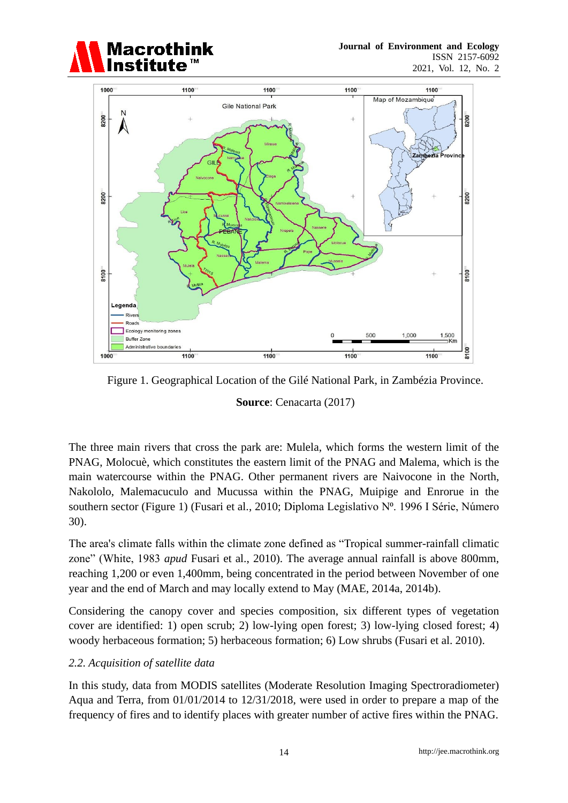



Figure 1. Geographical Location of the Gilé National Park, in Zambézia Province.

**Source**: Cenacarta (2017)

The three main rivers that cross the park are: Mulela, which forms the western limit of the PNAG, Molocuè, which constitutes the eastern limit of the PNAG and Malema, which is the main watercourse within the PNAG. Other permanent rivers are Naivocone in the North, Nakololo, Malemacuculo and Mucussa within the PNAG, Muipige and Enrorue in the southern sector (Figure 1) (Fusari et al., 2010; Diploma Legislativo Nº. 1996 I Série, Número 30).

The area's climate falls within the climate zone defined as "Tropical summer-rainfall climatic zone" (White, 1983 *apud* Fusari et al., 2010). The average annual rainfall is above 800mm, reaching 1,200 or even 1,400mm, being concentrated in the period between November of one year and the end of March and may locally extend to May (MAE, 2014a, 2014b).

Considering the canopy cover and species composition, six different types of vegetation cover are identified: 1) open scrub; 2) low-lying open forest; 3) low-lying closed forest; 4) woody herbaceous formation; 5) herbaceous formation; 6) Low shrubs (Fusari et al. 2010).

#### *2.2. Acquisition of satellite data*

In this study, data from MODIS satellites (Moderate Resolution Imaging Spectroradiometer) Aqua and Terra, from 01/01/2014 to 12/31/2018, were used in order to prepare a map of the frequency of fires and to identify places with greater number of active fires within the PNAG.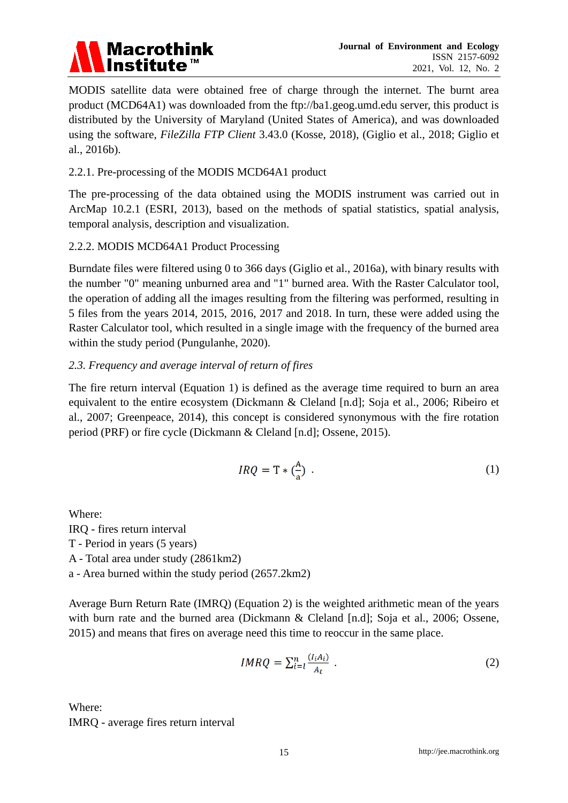# **Macrothink** Institute

MODIS satellite data were obtained free of charge through the internet. The burnt area product (MCD64A1) was downloaded from the ftp://ba1.geog.umd.edu server, this product is distributed by the University of Maryland (United States of America), and was downloaded using the software, *FileZilla FTP Client* 3.43.0 (Kosse, 2018), (Giglio et al., 2018; Giglio et al., 2016b).

## 2.2.1. Pre-processing of the MODIS MCD64A1 product

The pre-processing of the data obtained using the MODIS instrument was carried out in ArcMap 10.2.1 (ESRI, 2013), based on the methods of spatial statistics, spatial analysis, temporal analysis, description and visualization.

# 2.2.2. MODIS MCD64A1 Product Processing

Burndate files were filtered using 0 to 366 days (Giglio et al., 2016a), with binary results with the number "0" meaning unburned area and "1" burned area. With the Raster Calculator tool, the operation of adding all the images resulting from the filtering was performed, resulting in 5 files from the years 2014, 2015, 2016, 2017 and 2018. In turn, these were added using the Raster Calculator tool, which resulted in a single image with the frequency of the burned area within the study period (Pungulanhe, 2020).

# *2.3. Frequency and average interval of return of fires*

The fire return interval (Equation 1) is defined as the average time required to burn an area equivalent to the entire ecosystem (Dickmann & Cleland [n.d]; Soja et al., 2006; Ribeiro et al., 2007; Greenpeace, 2014), this concept is considered synonymous with the fire rotation period (PRF) or fire cycle (Dickmann & Cleland [n.d]; Ossene, 2015).

$$
IRQ = T * \left(\frac{A}{a}\right) \tag{1}
$$

Where: IRQ - fires return interval T - Period in years (5 years) A - Total area under study (2861km2) a - Area burned within the study period (2657.2km2)

Average Burn Return Rate (IMRQ) (Equation 2) is the weighted arithmetic mean of the years with burn rate and the burned area (Dickmann & Cleland [n.d]; Soja et al., 2006; Ossene, 2015) and means that fires on average need this time to reoccur in the same place.

$$
IMRQ = \sum_{i=l}^{n} \frac{(I_i A_i)}{A_t} \tag{2}
$$

Where: IMRQ - average fires return interval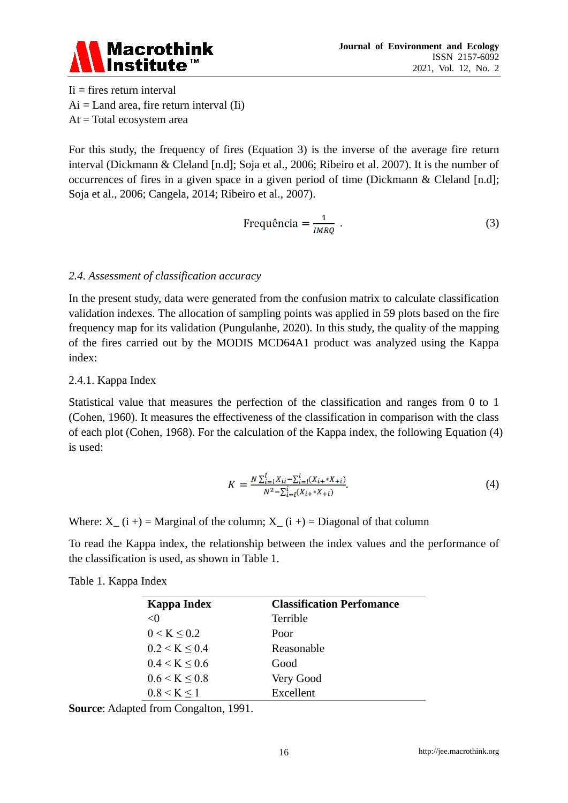

 $I_i$  = fires return interval  $Ai = Land area$ , fire return interval (Ii)  $At = Total ecosystem area$ 

For this study, the frequency of fires (Equation 3) is the inverse of the average fire return interval (Dickmann & Cleland [n.d]; Soja et al., 2006; Ribeiro et al. 2007). It is the number of occurrences of fires in a given space in a given period of time (Dickmann & Cleland [n.d]; Soja et al., 2006; Cangela, 2014; Ribeiro et al., 2007).

$$
Frequência = \frac{1}{IMRQ} \tag{3}
$$

#### *2.4. Assessment of classification accuracy*

In the present study, data were generated from the confusion matrix to calculate classification validation indexes. The allocation of sampling points was applied in 59 plots based on the fire frequency map for its validation (Pungulanhe, 2020). In this study, the quality of the mapping of the fires carried out by the MODIS MCD64A1 product was analyzed using the Kappa index:

#### 2.4.1. Kappa Index

Statistical value that measures the perfection of the classification and ranges from 0 to 1 (Cohen, 1960). It measures the effectiveness of the classification in comparison with the class of each plot (Cohen, 1968). For the calculation of the Kappa index, the following Equation (4) is used:

$$
K = \frac{N \sum_{i=1}^{l} X_{ii} - \sum_{i=1}^{l} (X_{i+} * X_{+i})}{N^2 - \sum_{i=1}^{l} (X_{i+} * X_{+i})}.
$$
\n
$$
(4)
$$

Where:  $X_{-}$  (i +) = Marginal of the column;  $X_{-}$  (i +) = Diagonal of that column

To read the Kappa index, the relationship between the index values and the performance of the classification is used, as shown in Table 1.

| Kappa Index   | <b>Classification Perfomance</b> |
|---------------|----------------------------------|
| $\langle$ ()  | <b>Terrible</b>                  |
| 0 < K < 0.2   | Poor                             |
| 0.2 < K < 0.4 | Reasonable                       |
| 0.4 < K < 0.6 | Good                             |
| 0.6 < K < 0.8 | Very Good                        |
| 0.8 < K < 1   | Excellent                        |

Table 1. Kappa Index

**Source**: Adapted from Congalton, 1991.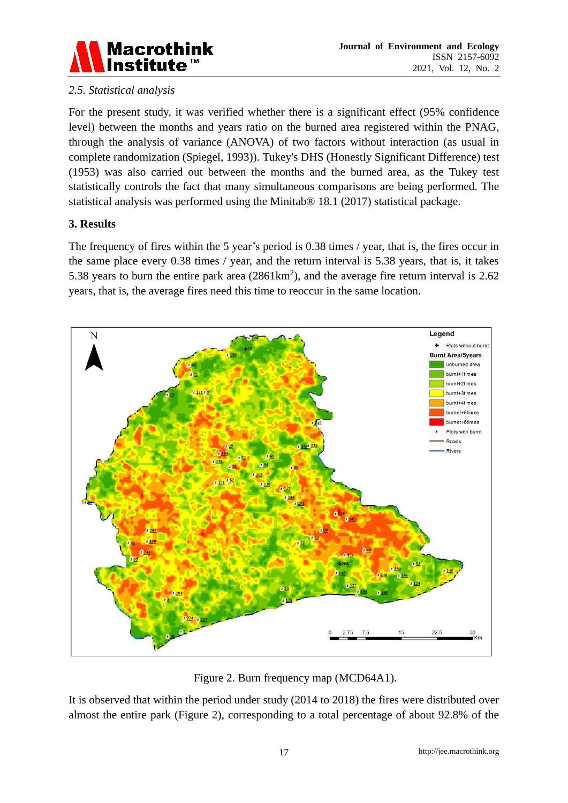

# *2.5. Statistical analysis*

For the present study, it was verified whether there is a significant effect (95% confidence level) between the months and years ratio on the burned area registered within the PNAG, through the analysis of variance (ANOVA) of two factors without interaction (as usual in complete randomization (Spiegel, 1993)). Tukey's DHS (Honestly Significant Difference) test (1953) was also carried out between the months and the burned area, as the Tukey test statistically controls the fact that many simultaneous comparisons are being performed. The statistical analysis was performed using the Minitab® 18.1 (2017) statistical package.

#### **3. Results**

The frequency of fires within the 5 year's period is 0.38 times / year, that is, the fires occur in the same place every 0.38 times / year, and the return interval is 5.38 years, that is, it takes 5.38 years to burn the entire park area  $(2861 \text{km}^2)$ , and the average fire return interval is 2.62 years, that is, the average fires need this time to reoccur in the same location.



Figure 2. Burn frequency map (MCD64A1).

It is observed that within the period under study (2014 to 2018) the fires were distributed over almost the entire park (Figure 2), corresponding to a total percentage of about 92.8% of the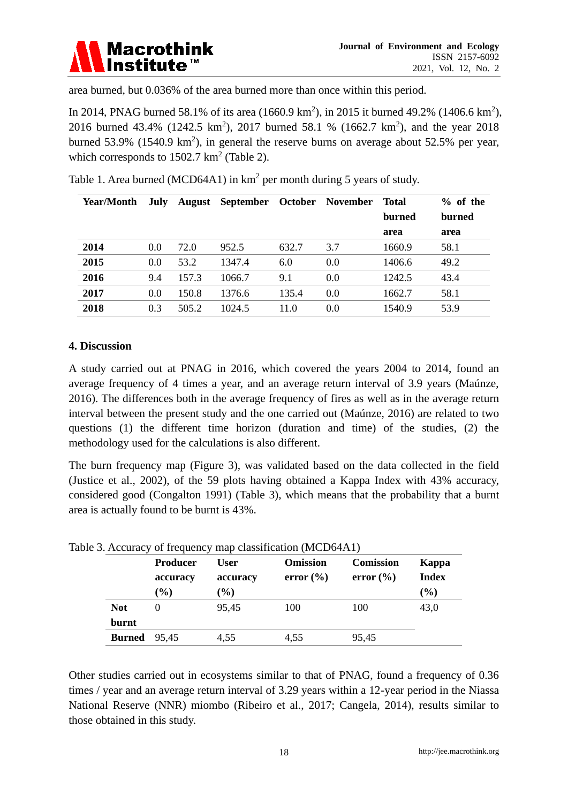

area burned, but 0.036% of the area burned more than once within this period.

In 2014, PNAG burned 58.1% of its area  $(1660.9 \text{ km}^2)$ , in 2015 it burned 49.2%  $(1406.6 \text{ km}^2)$ , 2016 burned 43.4% (1242.5 km<sup>2</sup>), 2017 burned 58.1 % (1662.7 km<sup>2</sup>), and the year 2018 burned 53.9% (1540.9 km<sup>2</sup>), in general the reserve burns on average about 52.5% per year, which corresponds to  $1502.7 \text{ km}^2$  (Table 2).

| Year/Month | July |       | August September October November |       |     | <b>Total</b> | $%$ of the |
|------------|------|-------|-----------------------------------|-------|-----|--------------|------------|
|            |      |       |                                   |       |     | burned       | burned     |
|            |      |       |                                   |       |     | area         | area       |
| 2014       | 0.0  | 72.0  | 952.5                             | 632.7 | 3.7 | 1660.9       | 58.1       |
| 2015       | 0.0  | 53.2  | 1347.4                            | 6.0   | 0.0 | 1406.6       | 49.2       |
| 2016       | 9.4  | 157.3 | 1066.7                            | 9.1   | 0.0 | 1242.5       | 43.4       |
| 2017       | 0.0  | 150.8 | 1376.6                            | 135.4 | 0.0 | 1662.7       | 58.1       |
| 2018       | 0.3  | 505.2 | 1024.5                            | 11.0  | 0.0 | 1540.9       | 53.9       |

Table 1. Area burned (MCD64A1) in km<sup>2</sup> per month during 5 years of study.

#### **4. Discussion**

A study carried out at PNAG in 2016, which covered the years 2004 to 2014, found an average frequency of 4 times a year, and an average return interval of 3.9 years (Maúnze, 2016). The differences both in the average frequency of fires as well as in the average return interval between the present study and the one carried out (Maúnze, 2016) are related to two questions (1) the different time horizon (duration and time) of the studies, (2) the methodology used for the calculations is also different.

The burn frequency map (Figure 3), was validated based on the data collected in the field (Justice et al., 2002), of the 59 plots having obtained a Kappa Index with 43% accuracy, considered good (Congalton 1991) (Table 3), which means that the probability that a burnt area is actually found to be burnt is 43%.

|                     | <b>Producer</b> | User     | <b>Omission</b> | <b>Comission</b> | Kappa        |
|---------------------|-----------------|----------|-----------------|------------------|--------------|
|                     | accuracy        | accuracy | error $(\% )$   | error $(\% )$    | <b>Index</b> |
|                     | $(\%)$          | $(\%)$   |                 |                  | $(\%)$       |
| <b>Not</b>          |                 | 95,45    | 100             | 100              | 43,0         |
| burnt               |                 |          |                 |                  |              |
| <b>Burned</b> 95,45 |                 | 4,55     | 4.55            | 95.45            |              |

Table 3. Accuracy of frequency man classification (MCD64A1)

Other studies carried out in ecosystems similar to that of PNAG, found a frequency of 0.36 times / year and an average return interval of 3.29 years within a 12-year period in the Niassa National Reserve (NNR) miombo (Ribeiro et al., 2017; Cangela, 2014), results similar to those obtained in this study.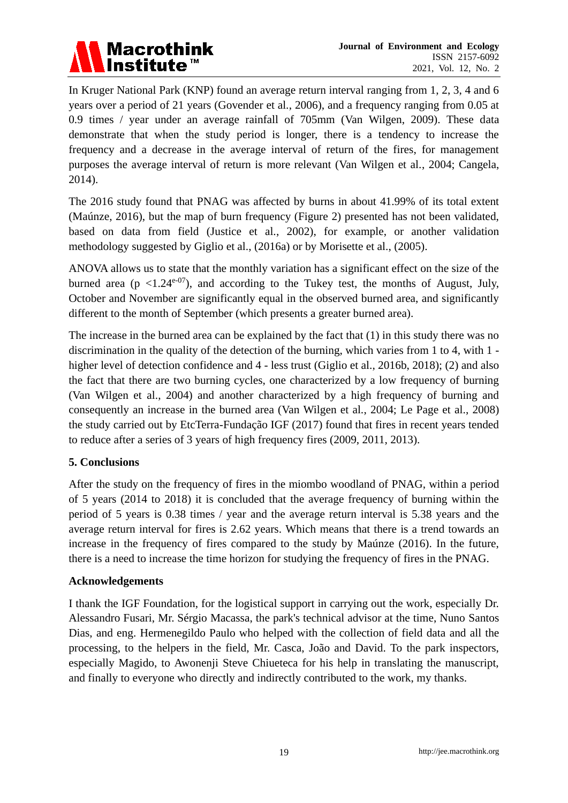

In Kruger National Park (KNP) found an average return interval ranging from 1, 2, 3, 4 and 6 years over a period of 21 years (Govender et al., 2006), and a frequency ranging from 0.05 at 0.9 times / year under an average rainfall of 705mm (Van Wilgen, 2009). These data demonstrate that when the study period is longer, there is a tendency to increase the frequency and a decrease in the average interval of return of the fires, for management purposes the average interval of return is more relevant (Van Wilgen et al., 2004; Cangela, 2014).

The 2016 study found that PNAG was affected by burns in about 41.99% of its total extent (Maúnze, 2016), but the map of burn frequency (Figure 2) presented has not been validated, based on data from field (Justice et al., 2002), for example, or another validation methodology suggested by Giglio et al., (2016a) or by Morisette et al., (2005).

ANOVA allows us to state that the monthly variation has a significant effect on the size of the burned area ( $p \le 1.24^{e^{-07}}$ ), and according to the Tukey test, the months of August, July, October and November are significantly equal in the observed burned area, and significantly different to the month of September (which presents a greater burned area).

The increase in the burned area can be explained by the fact that (1) in this study there was no discrimination in the quality of the detection of the burning, which varies from 1 to 4, with 1 higher level of detection confidence and 4 - less trust (Giglio et al., 2016b, 2018); (2) and also the fact that there are two burning cycles, one characterized by a low frequency of burning (Van Wilgen et al., 2004) and another characterized by a high frequency of burning and consequently an increase in the burned area (Van Wilgen et al., 2004; Le Page et al., 2008) the study carried out by EtcTerra-Fundação IGF (2017) found that fires in recent years tended to reduce after a series of 3 years of high frequency fires (2009, 2011, 2013).

#### **5. Conclusions**

After the study on the frequency of fires in the miombo woodland of PNAG, within a period of 5 years (2014 to 2018) it is concluded that the average frequency of burning within the period of 5 years is 0.38 times / year and the average return interval is 5.38 years and the average return interval for fires is 2.62 years. Which means that there is a trend towards an increase in the frequency of fires compared to the study by Maúnze (2016). In the future, there is a need to increase the time horizon for studying the frequency of fires in the PNAG.

#### **Acknowledgements**

I thank the IGF Foundation, for the logistical support in carrying out the work, especially Dr. Alessandro Fusari, Mr. Sérgio Macassa, the park's technical advisor at the time, Nuno Santos Dias, and eng. Hermenegildo Paulo who helped with the collection of field data and all the processing, to the helpers in the field, Mr. Casca, João and David. To the park inspectors, especially Magido, to Awonenji Steve Chiueteca for his help in translating the manuscript, and finally to everyone who directly and indirectly contributed to the work, my thanks.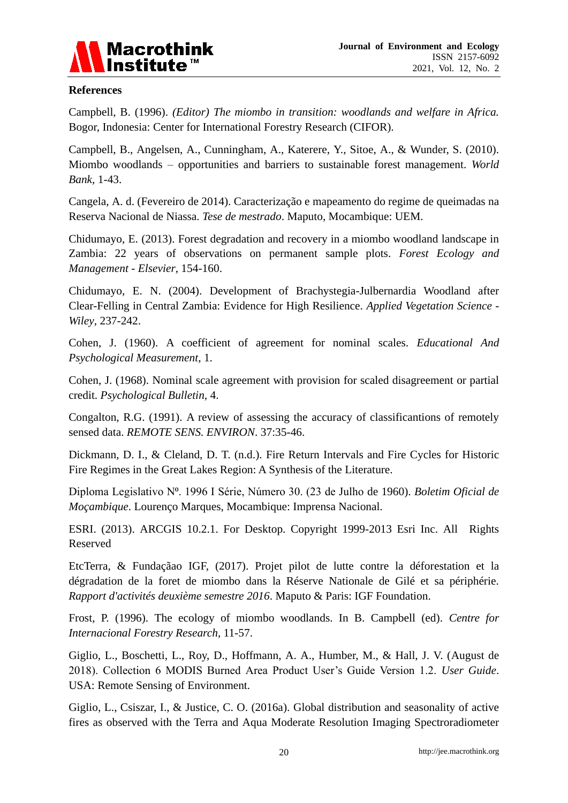

#### **References**

Campbell, B. (1996). *(Editor) The miombo in transition: woodlands and welfare in Africa.* Bogor, Indonesia: Center for International Forestry Research (CIFOR).

Campbell, B., Angelsen, A., Cunningham, A., Katerere, Y., Sitoe, A., & Wunder, S. (2010). Miombo woodlands – opportunities and barriers to sustainable forest management. *World Bank*, 1-43.

Cangela, A. d. (Fevereiro de 2014). Caracterização e mapeamento do regime de queimadas na Reserva Nacional de Niassa. *Tese de mestrado*. Maputo, Mocambique: UEM.

Chidumayo, E. (2013). Forest degradation and recovery in a miombo woodland landscape in Zambia: 22 years of observations on permanent sample plots. *Forest Ecology and Management - Elsevier*, 154-160.

Chidumayo, E. N. (2004). Development of Brachystegia-Julbernardia Woodland after Clear-Felling in Central Zambia: Evidence for High Resilience. *Applied Vegetation Science - Wiley*, 237-242.

Cohen, J. (1960). A coefficient of agreement for nominal scales. *Educational And Psychological Measurement*, 1.

Cohen, J. (1968). Nominal scale agreement with provision for scaled disagreement or partial credit. *Psychological Bulletin*, 4.

Congalton, R.G. (1991). A review of assessing the accuracy of classificantions of remotely sensed data. *REMOTE SENS. ENVIRON*. 37:35-46.

Dickmann, D. I., & Cleland, D. T. (n.d.). Fire Return Intervals and Fire Cycles for Historic Fire Regimes in the Great Lakes Region: A Synthesis of the Literature.

Diploma Legislativo N⁰. 1996 I Série, Número 30. (23 de Julho de 1960). *Boletim Oficial de Moçambique*. Lourenço Marques, Mocambique: Imprensa Nacional.

ESRI. (2013). ARCGIS 10.2.1. For Desktop. Copyright 1999-2013 Esri Inc. All Rights Reserved

EtcTerra, & Fundaçãao IGF, (2017). Projet pilot de lutte contre la déforestation et la dégradation de la foret de miombo dans la Réserve Nationale de Gilé et sa périphérie. *Rapport d'activités deuxième semestre 2016*. Maputo & Paris: IGF Foundation.

Frost, P. (1996). The ecology of miombo woodlands. In B. Campbell (ed). *Centre for Internacional Forestry Research*, 11-57.

Giglio, L., Boschetti, L., Roy, D., Hoffmann, A. A., Humber, M., & Hall, J. V. (August de 2018). Collection 6 MODIS Burned Area Product User's Guide Version 1.2. *User Guide*. USA: Remote Sensing of Environment.

Giglio, L., Csiszar, I., & Justice, C. O. (2016a). Global distribution and seasonality of active fires as observed with the Terra and Aqua Moderate Resolution Imaging Spectroradiometer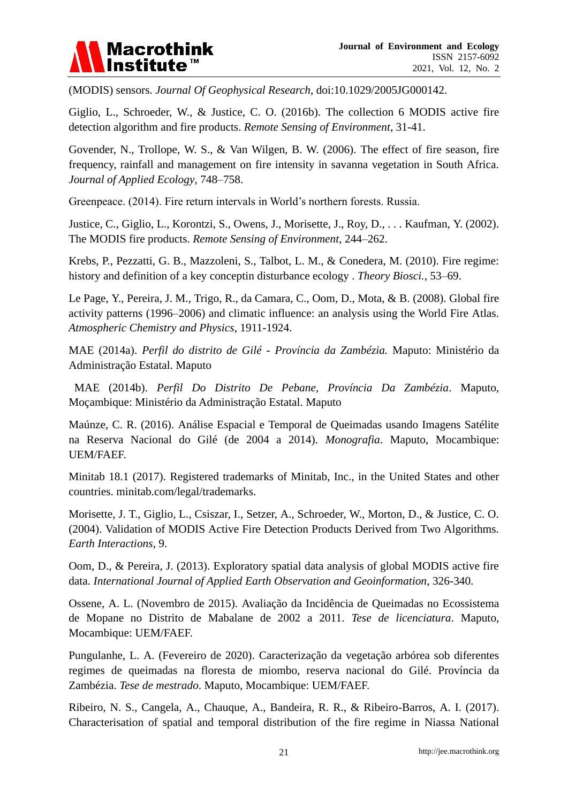

(MODIS) sensors. *Journal Of Geophysical Research*, doi:10.1029/2005JG000142.

Giglio, L., Schroeder, W., & Justice, C. O. (2016b). The collection 6 MODIS active fire detection algorithm and fire products. *Remote Sensing of Environment*, 31-41.

Govender, N., Trollope, W. S., & Van Wilgen, B. W. (2006). The effect of fire season, fire frequency, rainfall and management on fire intensity in savanna vegetation in South Africa. *Journal of Applied Ecology*, 748–758.

Greenpeace. (2014). Fire return intervals in World's northern forests. Russia.

Justice, C., Giglio, L., Korontzi, S., Owens, J., Morisette, J., Roy, D., . . . Kaufman, Y. (2002). The MODIS fire products. *Remote Sensing of Environment*, 244–262.

Krebs, P., Pezzatti, G. B., Mazzoleni, S., Talbot, L. M., & Conedera, M. (2010). Fire regime: history and definition of a key conceptin disturbance ecology . *Theory Biosci.*, 53–69.

Le Page, Y., Pereira, J. M., Trigo, R., da Camara, C., Oom, D., Mota, & B. (2008). Global fire activity patterns (1996–2006) and climatic influence: an analysis using the World Fire Atlas. *Atmospheric Chemistry and Physics*, 1911-1924.

MAE (2014a). *Perfil do distrito de Gilé - Província da Zambézia.* Maputo: Ministério da Administração Estatal. Maputo

MAE (2014b). *Perfil Do Distrito De Pebane, Província Da Zambézia*. Maputo, Moçambique: Ministério da Administração Estatal. Maputo

Maúnze, C. R. (2016). Análise Espacial e Temporal de Queimadas usando Imagens Satélite na Reserva Nacional do Gilé (de 2004 a 2014). *Monografia*. Maputo, Mocambique: UEM/FAEF.

Minitab 18.1 (2017). Registered trademarks of Minitab, Inc., in the United States and other countries. minitab.com/legal/trademarks.

Morisette, J. T., Giglio, L., Csiszar, I., Setzer, A., Schroeder, W., Morton, D., & Justice, C. O. (2004). Validation of MODIS Active Fire Detection Products Derived from Two Algorithms. *Earth Interactions*, 9.

Oom, D., & Pereira, J. (2013). Exploratory spatial data analysis of global MODIS active fire data. *International Journal of Applied Earth Observation and Geoinformation*, 326-340.

Ossene, A. L. (Novembro de 2015). Avaliação da Incidência de Queimadas no Ecossistema de Mopane no Distrito de Mabalane de 2002 a 2011. *Tese de licenciatura*. Maputo, Mocambique: UEM/FAEF.

Pungulanhe, L. A. (Fevereiro de 2020). Caracterização da vegetação arbórea sob diferentes regimes de queimadas na floresta de miombo, reserva nacional do Gilé. Província da Zambézia. *Tese de mestrado*. Maputo, Mocambique: UEM/FAEF.

Ribeiro, N. S., Cangela, A., Chauque, A., Bandeira, R. R., & Ribeiro-Barros, A. I. (2017). Characterisation of spatial and temporal distribution of the fire regime in Niassa National